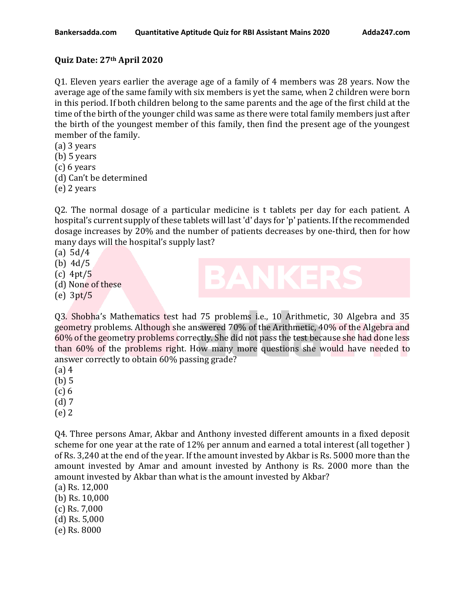## **Quiz Date: 27th April 2020**

Q1. Eleven years earlier the average age of a family of 4 members was 28 years. Now the average age of the same family with six members is yet the same, when 2 children were born in this period. If both children belong to the same parents and the age of the first child at the time of the birth of the younger child was same as there were total family members just after the birth of the youngest member of this family, then find the present age of the youngest member of the family.

(a) 3 years

(b) 5 years

(c) 6 years

(d) Can't be determined

(e) 2 years

Q2. The normal dosage of a particular medicine is t tablets per day for each patient. A hospital's current supply of these tablets will last 'd' days for 'p' patients. If the recommended dosage increases by 20% and the number of patients decreases by one-third, then for how many days will the hospital's supply last?

- (a) 5d/4
- (b) 4d/5
- (c) 4pt/5
- (d) None of these

(e) 3pt/5

Q3. Shobha's Mathematics test had 75 problems i.e., 10 Arithmetic, 30 Algebra and 35 geometry problems. Although she answered 70% of the Arithmetic, 40% of the Algebra and 60% of the geometry problems correctly. She did not pass the test because she had done less than 60% of the problems right. How many more questions she would have needed to answer correctly to obtain 60% passing grade?

- (a) 4
- (b) 5
- (c) 6
- (d) 7
- (e) 2

Q4. Three persons Amar, Akbar and Anthony invested different amounts in a fixed deposit scheme for one year at the rate of 12% per annum and earned a total interest (all together ) of Rs. 3,240 at the end of the year. If the amount invested by Akbar is Rs. 5000 more than the amount invested by Amar and amount invested by Anthony is Rs. 2000 more than the amount invested by Akbar than what is the amount invested by Akbar?

- (a) Rs. 12,000
- (b) Rs. 10,000
- (c) Rs. 7,000
- (d) Rs. 5,000
- (e) Rs. 8000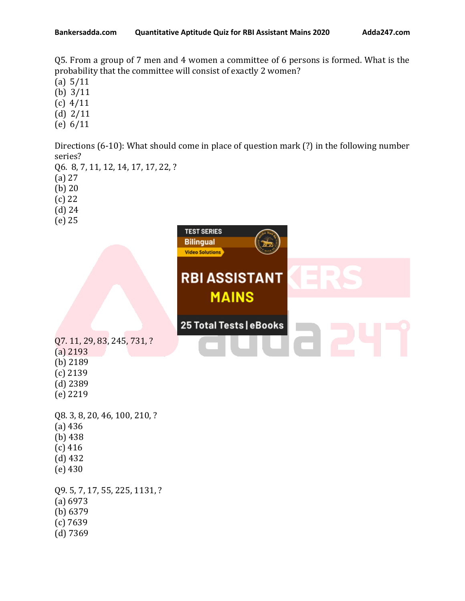Q5. From a group of 7 men and 4 women a committee of 6 persons is formed. What is the probability that the committee will consist of exactly 2 women?

- (a) 5/11
- (b) 3/11
- (c) 4/11
- (d) 2/11
- (e) 6/11

Directions (6-10): What should come in place of question mark (?) in the following number series?

- Q6. 8, 7, 11, 12, 14, 17, 17, 22, ?
- (a) 27
- (b) 20
- (c) 22
- (d) 24
- (e) 25

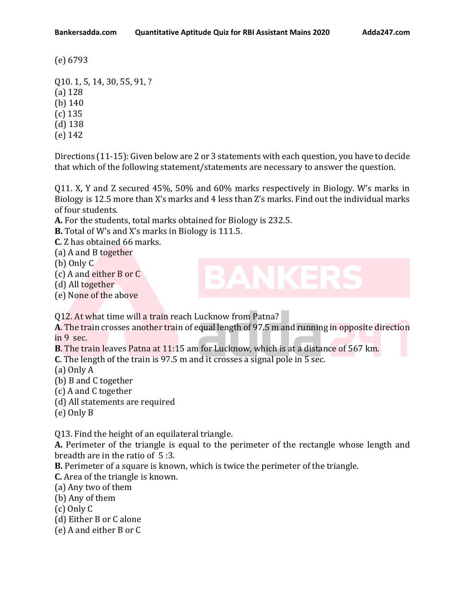(e) 6793

Q10. 1, 5, 14, 30, 55, 91, ? (a) 128 (b) 140 (c) 135 (d) 138 (e) 142

Directions (11-15): Given below are 2 or 3 statements with each question, you have to decide that which of the following statement/statements are necessary to answer the question.

Q11. X, Y and Z secured 45%, 50% and 60% marks respectively in Biology. W's marks in Biology is 12.5 more than X's marks and 4 less than Z's marks. Find out the individual marks of four students.

**A.** For the students, total marks obtained for Biology is 232.5.

**B.** Total of W's and X's marks in Biology is 111.5.

**C.** Z has obtained 66 marks.

(a) A and B together

(b) Only C

- (c) A and either B or C
- (d) All together
- (e) None of the above

Q12. At what time will a train reach Lucknow from Patna?

**A**. The train crosses another train of equal length of 97.5 m and running in opposite direction in 9 sec.

**B**. The train leaves Patna at 11:15 am for Lucknow, which is at a distance of 567 km. **C**. The length of the train is 97.5 m and it crosses a signal pole in 5 sec.

(a) Only A

- (b) B and C together
- (c) A and C together
- (d) All statements are required

(e) Only B

Q13. Find the height of an equilateral triangle.

**A.** Perimeter of the triangle is equal to the perimeter of the rectangle whose length and breadth are in the ratio of 5 :3.

**B.** Perimeter of a square is known, which is twice the perimeter of the triangle.

**C.** Area of the triangle is known.

(a) Any two of them

(b) Any of them

(c) Only C

(d) Either B or C alone

(e) A and either B or C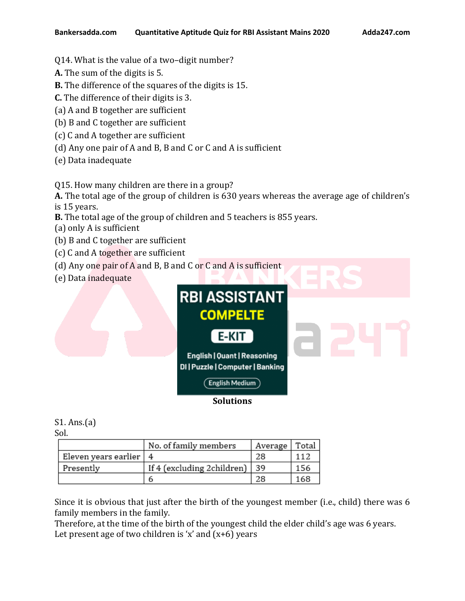- Q14. What is the value of a two–digit number?
- **A.** The sum of the digits is 5.
- **B.** The difference of the squares of the digits is 15.
- **C.** The difference of their digits is 3.
- (a) A and B together are sufficient
- (b) B and C together are sufficient
- (c) C and A together are sufficient
- (d) Any one pair of A and B, B and C or C and A is sufficient
- (e) Data inadequate

Q15. How many children are there in a group?

**A.** The total age of the group of children is 630 years whereas the average age of children's is 15 years.

- **B.** The total age of the group of children and 5 teachers is 855 years.
- (a) only A is sufficient
- (b) B and C together are sufficient
- (c) C and A together are sufficient
- (d) Any one pair of A and B, B and C or C and A is sufficient
- (e) Data inadequate



## S1. Ans.(a)

Sol.

|                      | No. of family members      | Average | Total |
|----------------------|----------------------------|---------|-------|
| Eleven years earlier |                            | 28      | 112   |
| Presently            | If 4 (excluding 2children) | 39      | 156   |
|                      | ь                          | 28      | 168   |

Since it is obvious that just after the birth of the youngest member (i.e., child) there was 6 family members in the family.

Therefore, at the time of the birth of the youngest child the elder child's age was 6 years. Let present age of two children is 'x' and  $(x+6)$  years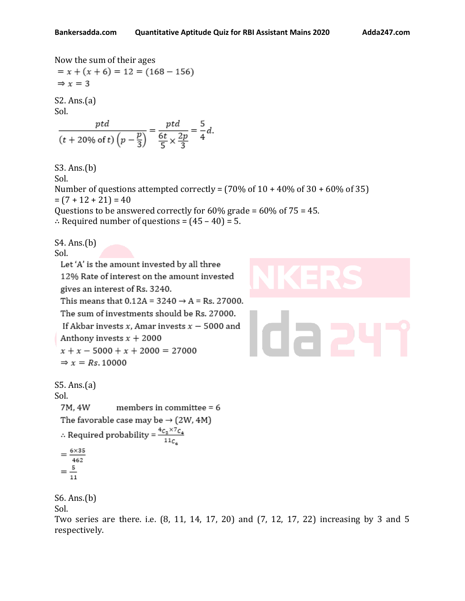Now the sum of their ages  $= x + (x + 6) = 12 = (168 - 156)$  $\Rightarrow$  x = 3 S2. Ans.(a) Sol.  $\frac{ptd}{(t+20\% \text{ of } t)\left(p-\frac{p}{3}\right)} = \frac{ptd}{\frac{6t}{5} \times \frac{2p}{3}} = \frac{5}{4}d.$ S3. Ans.(b) Sol. Number of questions attempted correctly =  $(70\% \text{ of } 10 + 40\% \text{ of } 30 + 60\% \text{ of } 35)$  $= (7 + 12 + 21) = 40$ Questions to be answered correctly for 60% grade = 60% of 75 = 45. ∴ Required number of questions =  $(45 - 40) = 5$ . S4. Ans.(b) Sol. Let 'A' is the amount invested by all three 12% Rate of interest on the amount invested gives an interest of Rs. 3240. This means that  $0.12A = 3240 \rightarrow A = Rs. 27000$ . The sum of investments should be Rs. 27000. If Akbar invests  $x$ , Amar invests  $x - 5000$  and Anthony invests  $x + 2000$  $x + x - 5000 + x + 2000 = 27000$  $\Rightarrow$  x = Rs. 10000 S5. Ans.(a) Sol. 7M, 4W members in committee  $= 6$ The favorable case may be  $\rightarrow$  (2W, 4M) : Required probability =  $\frac{4c_2 \times 7c_4}{11c_6}$  $=\frac{6\times35}{462}$  $=\frac{5}{11}$ S6. Ans.(b)

Sol.

Two series are there. i.e. (8, 11, 14, 17, 20) and (7, 12, 17, 22) increasing by 3 and 5 respectively.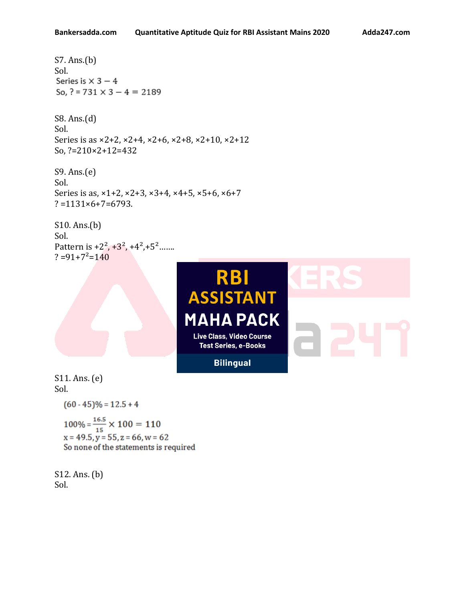```
S7. Ans.(b)
Sol.
Series is \times 3 - 4
So, ? = 731 \times 3 - 4 = 2189
```
S8. Ans.(d) Sol. Series is as ×2+2, ×2+4, ×2+6, ×2+8, ×2+10, ×2+12 So, ?=210×2+12=432

S9. Ans.(e) Sol. Series is as,  $\times$ 1+2,  $\times$ 2+3,  $\times$ 3+4,  $\times$ 4+5,  $\times$ 5+6,  $\times$ 6+7  $? = 1131 \times 6 + 7 = 6793.$ 

S10. Ans.(b) Sol. Pattern is  $+2^2$ ,  $+3^2$ ,  $+4^2$ ,  $+5^2$ …….  $? = 91+7^2=140$ 



S11. Ans. (e) Sol.

 $(60 - 45)\% = 12.5 + 4$ 

 $100\% = \frac{16.5}{15} \times 100 = 110$ <br> $\text{m} = 40.5 \text{ m} = 55 \text{ m} = 66 \text{ m} = 6$  $x = 49.5$ ,  $y = 55$ ,  $z = 66$ ,  $w = 62$ So none of the statements is required

S12. Ans. (b) Sol.